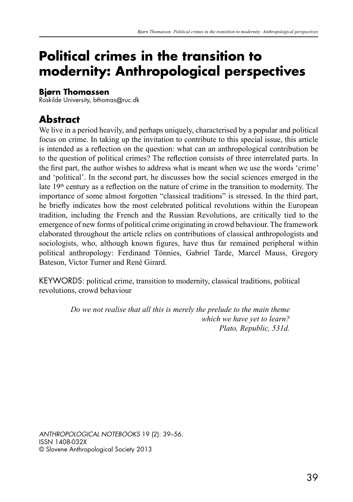# **Political crimes in the transition to modernity: Anthropological perspectives**

#### **Bjørn Thomassen**

Roskilde University, bthomas@ruc.dk

# **Abstract**

We live in a period heavily, and perhaps uniquely, characterised by a popular and political focus on crime. In taking up the invitation to contribute to this special issue, this article is intended as a reflection on the question: what can an anthropological contribution be to the question of political crimes? The reflection consists of three interrelated parts. In the first part, the author wishes to address what is meant when we use the words 'crime' and 'political'. In the second part, he discusses how the social sciences emerged in the late 19<sup>th</sup> century as a reflection on the nature of crime in the transition to modernity. The importance of some almost forgotten "classical traditions" is stressed. In the third part, he briefly indicates how the most celebrated political revolutions within the European tradition, including the French and the Russian Revolutions, are critically tied to the emergence of new forms of political crime originating in crowd behaviour. The framework elaborated throughout the article relies on contributions of classical anthropologists and sociologists, who, although known figures, have thus far remained peripheral within political anthropology: Ferdinand Tönnies, Gabriel Tarde, Marcel Mauss, Gregory Bateson, Victor Turner and René Girard.

KEYWORDS: political crime, transition to modernity, classical traditions, political revolutions, crowd behaviour

> *Do we not realise that all this is merely the prelude to the main theme which we have yet to learn? Plato, Republic, 531d.*

*ANTHROPOLOGICAL NOTEBOOKS* 19 (2): 39–56. ISSN 1408-032X © Slovene Anthropological Society 2013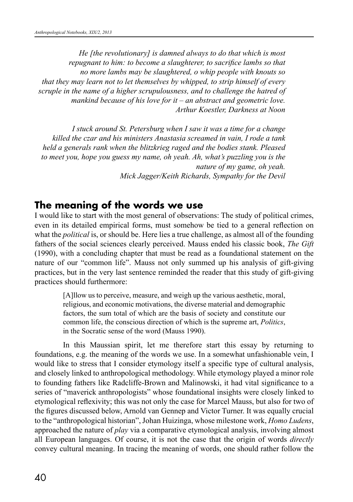*He [the revolutionary] is damned always to do that which is most repugnant to him: to become a slaughterer, to sacrifice lambs so that no more lambs may be slaughtered, o whip people with knouts so that they may learn not to let themselves by whipped, to strip himself of every scruple in the name of a higher scrupulousness, and to challenge the hatred of mankind because of his love for it – an abstract and geometric love. Arthur Koestler, Darkness at Noon*

*I stuck around St. Petersburg when I saw it was a time for a change killed the czar and his ministers Anastasia screamed in vain, I rode a tank held a generals rank when the blitzkrieg raged and the bodies stank. Pleased to meet you, hope you guess my name, oh yeah. Ah, what's puzzling you is the nature of my game, oh yeah. Mick Jagger/Keith Richards, Sympathy for the Devil*

#### **The meaning of the words we use**

I would like to start with the most general of observations: The study of political crimes, even in its detailed empirical forms, must somehow be tied to a general reflection on what the *political* is, or should be. Here lies a true challenge, as almost all of the founding fathers of the social sciences clearly perceived. Mauss ended his classic book, *The Gift*  (1990), with a concluding chapter that must be read as a foundational statement on the nature of our "common life". Mauss not only summed up his analysis of gift-giving practices, but in the very last sentence reminded the reader that this study of gift-giving practices should furthermore:

> [A]llow us to perceive, measure, and weigh up the various aesthetic, moral, religious, and economic motivations, the diverse material and demographic factors, the sum total of which are the basis of society and constitute our common life, the conscious direction of which is the supreme art, *Politics*, in the Socratic sense of the word (Mauss 1990).

In this Maussian spirit, let me therefore start this essay by returning to foundations, e.g. the meaning of the words we use. In a somewhat unfashionable vein, I would like to stress that I consider etymology itself a specific type of cultural analysis, and closely linked to anthropological methodology. While etymology played a minor role to founding fathers like Radcliffe-Brown and Malinowski, it had vital significance to a series of "maverick anthropologists" whose foundational insights were closely linked to etymological reflexivity; this was not only the case for Marcel Mauss, but also for two of the figures discussed below, Arnold van Gennep and Victor Turner. It was equally crucial to the "anthropological historian", Johan Huizinga, whose milestone work, *Homo Ludens*, approached the nature of *play* via a comparative etymological analysis, involving almost all European languages. Of course, it is not the case that the origin of words *directly*  convey cultural meaning. In tracing the meaning of words, one should rather follow the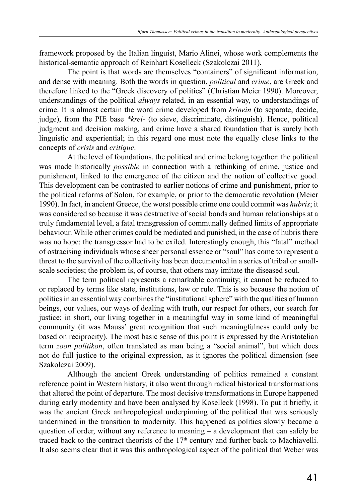framework proposed by the Italian linguist, Mario Alinei, whose work complements the historical-semantic approach of Reinhart Koselleck (Szakolczai 2011).

The point is that words are themselves "containers" of significant information, and dense with meaning. Both the words in question, *political* and *crime*, are Greek and therefore linked to the "Greek discovery of politics" (Christian Meier 1990). Moreover, understandings of the political *always* related, in an essential way, to understandings of crime. It is almost certain the word crime developed from *krinein* (to separate, decide, judge), from the PIE base *\*krei-* (to sieve, discriminate, distinguish). Hence, political judgment and decision making, and crime have a shared foundation that is surely both linguistic and experiential; in this regard one must note the equally close links to the concepts of *crisis* and *critique*.

At the level of foundations, the political and crime belong together: the political was made historically *possible* in connection with a rethinking of crime, justice and punishment, linked to the emergence of the citizen and the notion of collective good. This development can be contrasted to earlier notions of crime and punishment, prior to the political reforms of Solon, for example, or prior to the democratic revolution (Meier 1990). In fact, in ancient Greece, the worst possible crime one could commit was *hubris*; it was considered so because it was destructive of social bonds and human relationships at a truly fundamental level, a fatal transgression of communally defined limits of appropriate behaviour. While other crimes could be mediated and punished, in the case of hubris there was no hope: the transgressor had to be exiled. Interestingly enough, this "fatal" method of ostracising individuals whose sheer personal essence or "soul" has come to represent a threat to the survival of the collectivity has been documented in a series of tribal or smallscale societies; the problem is, of course, that others may imitate the diseased soul.

The term political represents a remarkable continuity; it cannot be reduced to or replaced by terms like state, institutions, law or rule. This is so because the notion of politics in an essential way combines the "institutional sphere" with the qualities of human beings, our values, our ways of dealing with truth, our respect for others, our search for justice; in short, our living together in a meaningful way in some kind of meaningful community (it was Mauss' great recognition that such meaningfulness could only be based on reciprocity). The most basic sense of this point is expressed by the Aristotelian term *zoon politikon*, often translated as man being a "social animal", but which does not do full justice to the original expression, as it ignores the political dimension (see Szakolczai 2009).

Although the ancient Greek understanding of politics remained a constant reference point in Western history, it also went through radical historical transformations that altered the point of departure. The most decisive transformations in Europe happened during early modernity and have been analysed by Koselleck (1998). To put it briefly, it was the ancient Greek anthropological underpinning of the political that was seriously undermined in the transition to modernity. This happened as politics slowly became a question of order, without any reference to meaning – a development that can safely be traced back to the contract theorists of the  $17<sup>th</sup>$  century and further back to Machiavelli. It also seems clear that it was this anthropological aspect of the political that Weber was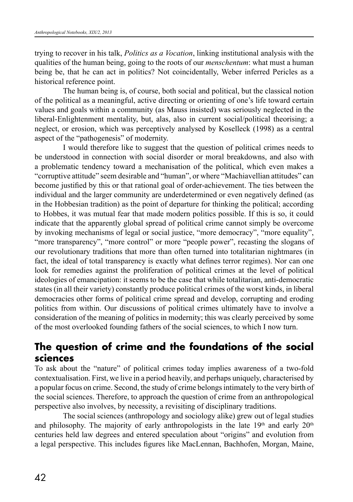trying to recover in his talk, *Politics as a Vocation*, linking institutional analysis with the qualities of the human being, going to the roots of our *menschentum*: what must a human being be, that he can act in politics? Not coincidentally, Weber inferred Pericles as a historical reference point.

The human being is, of course, both social and political, but the classical notion of the political as a meaningful, active directing or orienting of one's life toward certain values and goals within a community (as Mauss insisted) was seriously neglected in the liberal-Enlightenment mentality, but, alas, also in current social/political theorising; a neglect, or erosion, which was perceptively analysed by Koselleck (1998) as a central aspect of the "pathogenesis" of modernity.

I would therefore like to suggest that the question of political crimes needs to be understood in connection with social disorder or moral breakdowns, and also with a problematic tendency toward a mechanisation of the political, which even makes a "corruptive attitude" seem desirable and "human", or where "Machiavellian attitudes" can become justified by this or that rational goal of order-achievement. The ties between the individual and the larger community are underdetermined or even negatively defined (as in the Hobbesian tradition) as the point of departure for thinking the political; according to Hobbes, it was mutual fear that made modern politics possible. If this is so, it could indicate that the apparently global spread of political crime cannot simply be overcome by invoking mechanisms of legal or social justice, "more democracy", "more equality", "more transparency", "more control" or more "people power", recasting the slogans of our revolutionary traditions that more than often turned into totalitarian nightmares (in fact, the ideal of total transparency is exactly what defines terror regimes). Nor can one look for remedies against the proliferation of political crimes at the level of political ideologies of emancipation: it seems to be the case that while totalitarian, anti-democratic states (in all their variety) constantly produce political crimes of the worst kinds, in liberal democracies other forms of political crime spread and develop, corrupting and eroding politics from within. Our discussions of political crimes ultimately have to involve a consideration of the meaning of politics in modernity; this was clearly perceived by some of the most overlooked founding fathers of the social sciences, to which I now turn.

# **The question of crime and the foundations of the social sciences**

To ask about the "nature" of political crimes today implies awareness of a two-fold contextualisation. First, we live in a period heavily, and perhaps uniquely, characterised by a popular focus on crime. Second, the study of crime belongs intimately to the very birth of the social sciences. Therefore, to approach the question of crime from an anthropological perspective also involves, by necessity, a revisiting of disciplinary traditions.

The social sciences (anthropology and sociology alike) grew out of legal studies and philosophy. The majority of early anthropologists in the late  $19<sup>th</sup>$  and early  $20<sup>th</sup>$ centuries held law degrees and entered speculation about "origins" and evolution from a legal perspective. This includes figures like MacLennan, Bachhofen, Morgan, Maine,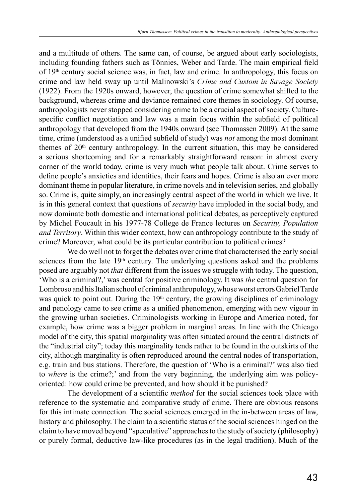and a multitude of others. The same can, of course, be argued about early sociologists, including founding fathers such as Tönnies, Weber and Tarde. The main empirical field of  $19<sup>th</sup>$  century social science was, in fact, law and crime. In anthropology, this focus on crime and law held sway up until Malinowski's *Crime and Custom in Savage Society* (1922). From the 1920s onward, however, the question of crime somewhat shifted to the background, whereas crime and deviance remained core themes in sociology. Of course, anthropologists never stopped considering crime to be a crucial aspect of society. Culturespecific conflict negotiation and law was a main focus within the subfield of political anthropology that developed from the 1940s onward (see Thomassen 2009). At the same time, crime (understood as a unified subfield of study) was *not* among the most dominant themes of  $20<sup>th</sup>$  century anthropology. In the current situation, this may be considered a serious shortcoming and for a remarkably straightforward reason: in almost every corner of the world today, crime is very much what people talk about. Crime serves to define people's anxieties and identities, their fears and hopes. Crime is also an ever more dominant theme in popular literature, in crime novels and in television series, and globally so. Crime is, quite simply, an increasingly central aspect of the world in which we live. It is in this general context that questions of *security* have imploded in the social body, and now dominate both domestic and international political debates, as perceptively captured by Michel Foucault in his 1977-78 College de France lectures on *Security, Population and Territory*. Within this wider context, how can anthropology contribute to the study of crime? Moreover, what could be its particular contribution to political crimes?

We do well not to forget the debates over crime that characterised the early social sciences from the late  $19<sup>th</sup>$  century. The underlying questions asked and the problems posed are arguably not *that* different from the issues we struggle with today. The question, 'Who is a criminal?,' was central for positive criminology. It was *the* central question for Lombroso and his Italian school of criminal anthropology, whose worst errors Gabriel Tarde was quick to point out. During the  $19<sup>th</sup>$  century, the growing disciplines of criminology and penology came to see crime as a unified phenomenon, emerging with new vigour in the growing urban societies. Criminologists working in Europe and America noted, for example, how crime was a bigger problem in marginal areas. In line with the Chicago model of the city, this spatial marginality was often situated around the central districts of the "industrial city"; today this marginality tends rather to be found in the outskirts of the city, although marginality is often reproduced around the central nodes of transportation, e.g. train and bus stations. Therefore, the question of 'Who is a criminal?' was also tied to *where* is the crime?;' and from the very beginning, the underlying aim was policyoriented: how could crime be prevented, and how should it be punished?

The development of a scientific *method* for the social sciences took place with reference to the systematic and comparative study of crime. There are obvious reasons for this intimate connection. The social sciences emerged in the in-between areas of law, history and philosophy. The claim to a scientific status of the social sciences hinged on the claim to have moved beyond "speculative" approaches to the study of society (philosophy) or purely formal, deductive law-like procedures (as in the legal tradition). Much of the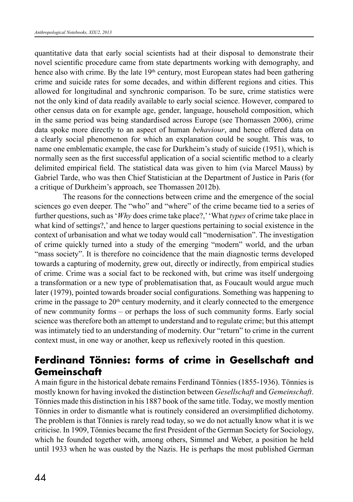quantitative data that early social scientists had at their disposal to demonstrate their novel scientific procedure came from state departments working with demography, and hence also with crime. By the late  $19<sup>th</sup>$  century, most European states had been gathering crime and suicide rates for some decades, and within different regions and cities. This allowed for longitudinal and synchronic comparison. To be sure, crime statistics were not the only kind of data readily available to early social science. However, compared to other census data on for example age, gender, language, household composition, which in the same period was being standardised across Europe (see Thomassen 2006), crime data spoke more directly to an aspect of human *behaviour*, and hence offered data on a clearly social phenomenon for which an explanation could be sought. This was, to name one emblematic example, the case for Durkheim's study of suicide (1951), which is normally seen as the first successful application of a social scientific method to a clearly delimited empirical field. The statistical data was given to him (via Marcel Mauss) by Gabriel Tarde, who was then Chief Statistician at the Department of Justice in Paris (for a critique of Durkheim's approach, see Thomassen 2012b).

The reasons for the connections between crime and the emergence of the social sciences go even deeper. The "who" and "where" of the crime became tied to a series of further questions, such as '*Why* does crime take place?,' 'What *types* of crime take place in what kind of settings?,' and hence to larger questions pertaining to social existence in the context of urbanisation and what we today would call "modernisation". The investigation of crime quickly turned into a study of the emerging "modern" world, and the urban "mass society". It is therefore no coincidence that the main diagnostic terms developed towards a capturing of modernity, grew out, directly or indirectly, from empirical studies of crime. Crime was a social fact to be reckoned with, but crime was itself undergoing a transformation or a new type of problematisation that, as Foucault would argue much later (1979), pointed towards broader social configurations. Something was happening to crime in the passage to  $20<sup>th</sup>$  century modernity, and it clearly connected to the emergence of new community forms – or perhaps the loss of such community forms. Early social science was therefore both an attempt to understand and to regulate crime; but this attempt was intimately tied to an understanding of modernity. Our "return" to crime in the current context must, in one way or another, keep us reflexively rooted in this question.

# **Ferdinand Tönnies: forms of crime in Gesellschaft and Gemeinschaft**

A main figure in the historical debate remains Ferdinand Tönnies (1855-1936). Tönnies is mostly known for having invoked the distinction between *Gesellschaft* and *Gemeinschaft*. Tönnies made this distinction in his 1887 book of the same title. Today, we mostly mention Tönnies in order to dismantle what is routinely considered an oversimplified dichotomy. The problem is that Tönnies is rarely read today, so we do not actually know what it is we criticise. In 1909, Tönnies became the first President of the German Society for Sociology, which he founded together with, among others, Simmel and Weber, a position he held until 1933 when he was ousted by the Nazis. He is perhaps the most published German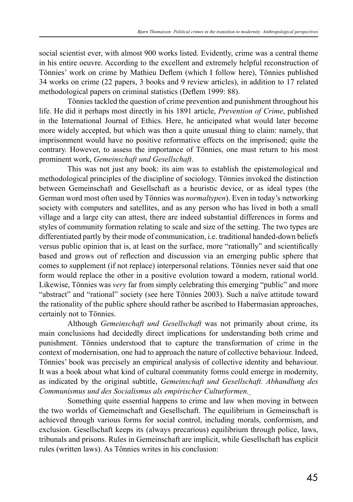social scientist ever, with almost 900 works listed. Evidently, crime was a central theme in his entire oeuvre. According to the excellent and extremely helpful reconstruction of Tönnies' work on crime by Mathieu Deflem (which I follow here), Tönnies published 34 works on crime (22 papers, 3 books and 9 review articles), in addition to 17 related methodological papers on criminal statistics (Deflem 1999: 88).

Tönnies tackled the question of crime prevention and punishment throughout his life. He did it perhaps most directly in his 1891 article, *Prevention of Crime*, published in the International Journal of Ethics. Here, he anticipated what would later become more widely accepted, but which was then a quite unusual thing to claim: namely, that imprisonment would have no positive reformative effects on the imprisoned; quite the contrary. However, to assess the importance of Tönnies, one must return to his most prominent work, *Gemeinschaft und Gesellschaft*.

This was not just any book: its aim was to establish the epistemological and methodological principles of the discipline of sociology. Tönnies invoked the distinction between Gemeinschaft and Gesellschaft as a heuristic device, or as ideal types (the German word most often used by Tönnies was *normaltypen*). Even in today's networking society with computers and satellites, and as any person who has lived in both a small village and a large city can attest, there are indeed substantial differences in forms and styles of community formation relating to scale and size of the setting. The two types are differentiated partly by their mode of communication, i.e. traditional handed-down beliefs versus public opinion that is, at least on the surface, more "rationally" and scientifically based and grows out of reflection and discussion via an emerging public sphere that comes to supplement (if not replace) interpersonal relations. Tönnies never said that one form would replace the other in a positive evolution toward a modern, rational world. Likewise, Tönnies was *very* far from simply celebrating this emerging "public" and more "abstract" and "rational" society (see here Tönnies 2003). Such a naïve attitude toward the rationality of the public sphere should rather be ascribed to Habermasian approaches, certainly not to Tönnies.

Although *Gemeinschaft und Gesellschaft* was not primarily about crime, its main conclusions had decidedly direct implications for understanding both crime and punishment. Tönnies understood that to capture the transformation of crime in the context of modernisation, one had to approach the nature of collective behaviour. Indeed, Tönnies' book was precisely an empirical analysis of collective identity and behaviour. It was a book about what kind of cultural community forms could emerge in modernity, as indicated by the original subtitle, *Gemeinschaft und Gesellschaft. Abhandlung des Communismus und des Socialismus als empirischer Culturformen.*

Something quite essential happens to crime and law when moving in between the two worlds of Gemeinschaft and Gesellschaft. The equilibrium in Gemeinschaft is achieved through various forms for social control, including morals, conformism, and exclusion. Gesellschaft keeps its (always precarious) equilibrium through police, laws, tribunals and prisons. Rules in Gemeinschaft are implicit, while Gesellschaft has explicit rules (written laws). As Tönnies writes in his conclusion: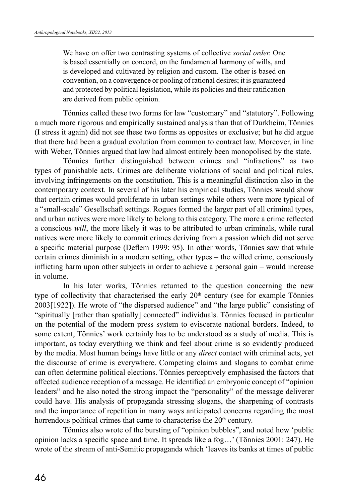We have on offer two contrasting systems of collective *social order.* One is based essentially on concord, on the fundamental harmony of wills, and is developed and cultivated by religion and custom. The other is based on convention, on a convergence or pooling of rational desires; it is guaranteed and protected by political legislation, while its policies and their ratification are derived from public opinion.

Tönnies called these two forms for law "customary" and "statutory". Following a much more rigorous and empirically sustained analysis than that of Durkheim, Tönnies (I stress it again) did not see these two forms as opposites or exclusive; but he did argue that there had been a gradual evolution from common to contract law. Moreover, in line with Weber, Tönnies argued that law had almost entirely been monopolised by the state.

Tönnies further distinguished between crimes and "infractions" as two types of punishable acts. Crimes are deliberate violations of social and political rules, involving infringements on the constitution. This is a meaningful distinction also in the contemporary context. In several of his later his empirical studies, Tönnies would show that certain crimes would proliferate in urban settings while others were more typical of a "small-scale" Gesellschaft settings. Rogues formed the larger part of all criminal types, and urban natives were more likely to belong to this category. The more a crime reflected a conscious *will*, the more likely it was to be attributed to urban criminals, while rural natives were more likely to commit crimes deriving from a passion which did not serve a specific material purpose (Deflem 1999: 95). In other words, Tönnies saw that while certain crimes diminish in a modern setting, other types – the willed crime, consciously inflicting harm upon other subjects in order to achieve a personal gain – would increase in volume.

In his later works, Tönnies returned to the question concerning the new type of collectivity that characterised the early  $20<sup>th</sup>$  century (see for example Tönnies 2003[1922]). He wrote of "the dispersed audience" and "the large public" consisting of "spiritually [rather than spatially] connected" individuals. Tönnies focused in particular on the potential of the modern press system to eviscerate national borders. Indeed, to some extent, Tönnies' work certainly has to be understood as a study of media. This is important, as today everything we think and feel about crime is so evidently produced by the media. Most human beings have little or any *direct* contact with criminal acts, yet the discourse of crime is everywhere. Competing claims and slogans to combat crime can often determine political elections. Tönnies perceptively emphasised the factors that affected audience reception of a message. He identified an embryonic concept of "opinion leaders" and he also noted the strong impact the "personality" of the message deliverer could have. His analysis of propaganda stressing slogans, the sharpening of contrasts and the importance of repetition in many ways anticipated concerns regarding the most horrendous political crimes that came to characterise the  $20<sup>th</sup>$  century.

Tönnies also wrote of the bursting of "opinion bubbles", and noted how 'public opinion lacks a specific space and time. It spreads like a fog…' (Tönnies 2001: 247). He wrote of the stream of anti-Semitic propaganda which 'leaves its banks at times of public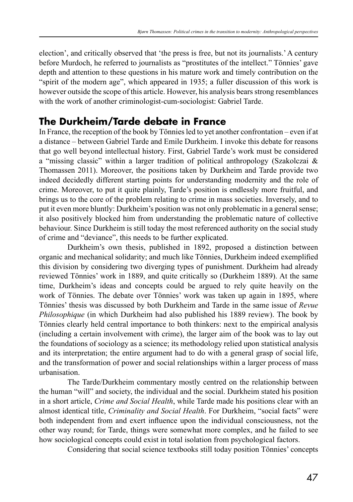election', and critically observed that 'the press is free, but not its journalists.' A century before Murdoch, he referred to journalists as "prostitutes of the intellect." Tönnies' gave depth and attention to these questions in his mature work and timely contribution on the "spirit of the modern age", which appeared in 1935; a fuller discussion of this work is however outside the scope of this article. However, his analysis bears strong resemblances with the work of another criminologist-cum-sociologist: Gabriel Tarde.

# **The Durkheim/Tarde debate in France**

In France, the reception of the book by Tönnies led to yet another confrontation – even if at a distance – between Gabriel Tarde and Emile Durkheim. I invoke this debate for reasons that go well beyond intellectual history. First, Gabriel Tarde's work must be considered a "missing classic" within a larger tradition of political anthropology (Szakolczai & Thomassen 2011). Moreover, the positions taken by Durkheim and Tarde provide two indeed decidedly different starting points for understanding modernity and the role of crime. Moreover, to put it quite plainly, Tarde's position is endlessly more fruitful, and brings us to the core of the problem relating to crime in mass societies. Inversely, and to put it even more bluntly: Durkheim's position was not only problematic in a general sense; it also positively blocked him from understanding the problematic nature of collective behaviour. Since Durkheim is still today the most referenced authority on the social study of crime and "deviance", this needs to be further explicated.

Durkheim's own thesis, published in 1892, proposed a distinction between organic and mechanical solidarity; and much like Tönnies, Durkheim indeed exemplified this division by considering two diverging types of punishment. Durkheim had already reviewed Tönnies' work in 1889, and quite critically so (Durkheim 1889). At the same time, Durkheim's ideas and concepts could be argued to rely quite heavily on the work of Tönnies. The debate over Tönnies' work was taken up again in 1895, where Tönnies' thesis was discussed by both Durkheim and Tarde in the same issue of *Revue Philosophique* (in which Durkheim had also published his 1889 review). The book by Tönnies clearly held central importance to both thinkers: next to the empirical analysis (including a certain involvement with crime), the larger aim of the book was to lay out the foundations of sociology as a science; its methodology relied upon statistical analysis and its interpretation; the entire argument had to do with a general grasp of social life, and the transformation of power and social relationships within a larger process of mass urbanisation.

The Tarde/Durkheim commentary mostly centred on the relationship between the human "will" and society, the individual and the social. Durkheim stated his position in a short article, *Crime and Social Health*, while Tarde made his positions clear with an almost identical title, *Criminality and Social Health*. For Durkheim, "social facts" were both independent from and exert influence upon the individual consciousness, not the other way round; for Tarde, things were somewhat more complex, and he failed to see how sociological concepts could exist in total isolation from psychological factors.

Considering that social science textbooks still today position Tönnies' concepts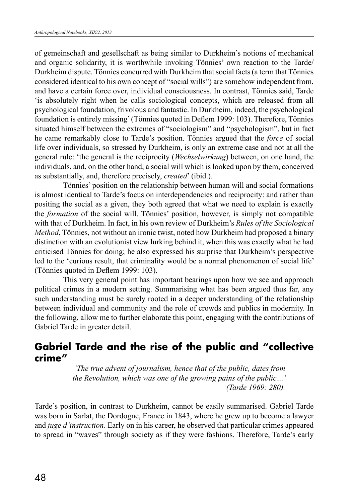of gemeinschaft and gesellschaft as being similar to Durkheim's notions of mechanical and organic solidarity, it is worthwhile invoking Tönnies' own reaction to the Tarde/ Durkheim dispute. Tönnies concurred with Durkheim that social facts (a term that Tönnies considered identical to his own concept of "social wills") are somehow independent from, and have a certain force over, individual consciousness. In contrast, Tönnies said, Tarde 'is absolutely right when he calls sociological concepts, which are released from all psychological foundation, frivolous and fantastic. In Durkheim, indeed, the psychological foundation is entirely missing' (Tönnies quoted in Deflem 1999: 103). Therefore, Tönnies situated himself between the extremes of "sociologism" and "psychologism", but in fact he came remarkably close to Tarde's position. Tönnies argued that the *force* of social life over individuals, so stressed by Durkheim, is only an extreme case and not at all the general rule: 'the general is the reciprocity (*Wechselwirkung*) between, on one hand, the individuals, and, on the other hand, a social will which is looked upon by them, conceived as substantially, and, therefore precisely, *created*' (ibid.).

Tönnies' position on the relationship between human will and social formations is almost identical to Tarde's focus on interdependencies and reciprocity: and rather than positing the social as a given, they both agreed that what we need to explain is exactly the *formation* of the social will. Tönnies' position, however, is simply not compatible with that of Durkheim. In fact, in his own review of Durkheim's *Rules of the Sociological Method*, Tönnies, not without an ironic twist, noted how Durkheim had proposed a binary distinction with an evolutionist view lurking behind it, when this was exactly what he had criticised Tönnies for doing; he also expressed his surprise that Durkheim's perspective led to the 'curious result, that criminality would be a normal phenomenon of social life' (Tönnies quoted in Deflem 1999: 103).

This very general point has important bearings upon how we see and approach political crimes in a modern setting. Summarising what has been argued thus far, any such understanding must be surely rooted in a deeper understanding of the relationship between individual and community and the role of crowds and publics in modernity. In the following, allow me to further elaborate this point, engaging with the contributions of Gabriel Tarde in greater detail.

### **Gabriel Tarde and the rise of the public and "collective crime"**

*'The true advent of journalism, hence that of the public, dates from the Revolution, which was one of the growing pains of the public…' (Tarde 1969: 280).*

Tarde's position, in contrast to Durkheim, cannot be easily summarised. Gabriel Tarde was born in Sarlat, the Dordogne, France in 1843, where he grew up to become a lawyer and *juge d'instruction*. Early on in his career, he observed that particular crimes appeared to spread in "waves" through society as if they were fashions. Therefore, Tarde's early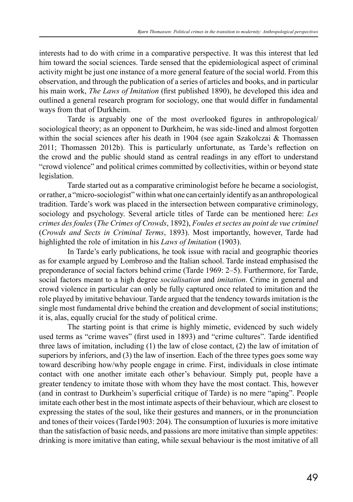interests had to do with crime in a comparative perspective. It was this interest that led him toward the social sciences. Tarde sensed that the epidemiological aspect of criminal activity might be just one instance of a more general feature of the social world. From this observation, and through the publication of a series of articles and books, and in particular his main work, *The Laws of Imitation* (first published 1890), he developed this idea and outlined a general research program for sociology, one that would differ in fundamental ways from that of Durkheim.

Tarde is arguably one of the most overlooked figures in anthropological/ sociological theory; as an opponent to Durkheim, he was side-lined and almost forgotten within the social sciences after his death in 1904 (see again Szakolczai & Thomassen 2011; Thomassen 2012b). This is particularly unfortunate, as Tarde's reflection on the crowd and the public should stand as central readings in any effort to understand "crowd violence" and political crimes committed by collectivities, within or beyond state legislation.

Tarde started out as a comparative criminologist before he became a sociologist, or rather, a "micro-sociologist" within what one can certainly identify as an anthropological tradition. Tarde's work was placed in the intersection between comparative criminology, sociology and psychology. Several article titles of Tarde can be mentioned here: *Les crimes des foules* (*The Crimes of Crowds*, 1892), *Foules et sectes au point de vue criminel* (*Crowds and Sects in Criminal Terms*, 1893). Most importantly, however, Tarde had highlighted the role of imitation in his *Laws of Imitation* (1903).

In Tarde's early publications, he took issue with racial and geographic theories as for example argued by Lombroso and the Italian school. Tarde instead emphasised the preponderance of social factors behind crime (Tarde 1969: 2–5). Furthermore, for Tarde, social factors meant to a high degree *socialisation* and *imitation*. Crime in general and crowd violence in particular can only be fully captured once related to imitation and the role played by imitative behaviour. Tarde argued that the tendency towards imitation is the single most fundamental drive behind the creation and development of social institutions; it is, alas, equally crucial for the study of political crime.

The starting point is that crime is highly mimetic, evidenced by such widely used terms as "crime waves" (first used in 1893) and "crime cultures". Tarde identified three laws of imitation, including (1) the law of close contact, (2) the law of imitation of superiors by inferiors, and (3) the law of insertion. Each of the three types goes some way toward describing how/why people engage in crime. First, individuals in close intimate contact with one another imitate each other's behaviour. Simply put, people have a greater tendency to imitate those with whom they have the most contact. This, however (and in contrast to Durkheim's superficial critique of Tarde) is no mere "aping". People imitate each other best in the most intimate aspects of their behaviour, which are closest to expressing the states of the soul, like their gestures and manners, or in the pronunciation and tones of their voices (Tarde1903: 204). The consumption of luxuries is more imitative than the satisfaction of basic needs, and passions are more imitative than simple appetites: drinking is more imitative than eating, while sexual behaviour is the most imitative of all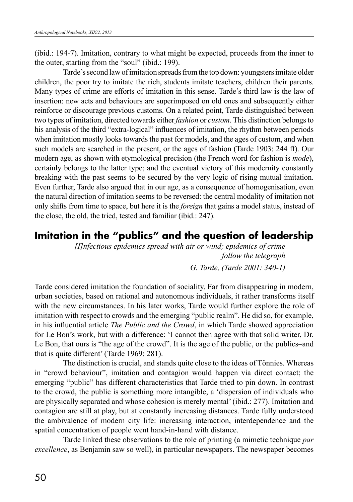(ibid.: 194-7). Imitation, contrary to what might be expected, proceeds from the inner to the outer, starting from the "soul" (ibid.: 199).

Tarde's second law of imitation spreads from the top down: youngsters imitate older children, the poor try to imitate the rich, students imitate teachers, children their parents. Many types of crime are efforts of imitation in this sense. Tarde's third law is the law of insertion: new acts and behaviours are superimposed on old ones and subsequently either reinforce or discourage previous customs. On a related point, Tarde distinguished between two types of imitation, directed towards either *fashion* or *custom*. This distinction belongs to his analysis of the third "extra-logical" influences of imitation, the rhythm between periods when imitation mostly looks towards the past for models, and the ages of custom, and when such models are searched in the present, or the ages of fashion (Tarde 1903: 244 ff). Our modern age, as shown with etymological precision (the French word for fashion is *mode*), certainly belongs to the latter type; and the eventual victory of this modernity constantly breaking with the past seems to be secured by the very logic of rising mutual imitation. Even further, Tarde also argued that in our age, as a consequence of homogenisation, even the natural direction of imitation seems to be reversed: the central modality of imitation not only shifts from time to space, but here it is the *foreign* that gains a model status, instead of the close, the old, the tried, tested and familiar (ibid.: 247).

# **Imitation in the "publics" and the question of leadership**

*[I]nfectious epidemics spread with air or wind; epidemics of crime follow the telegraph G. Tarde, (Tarde 2001: 340-1)*

Tarde considered imitation the foundation of sociality. Far from disappearing in modern, urban societies, based on rational and autonomous individuals, it rather transforms itself with the new circumstances. In his later works, Tarde would further explore the role of imitation with respect to crowds and the emerging "public realm". He did so, for example, in his influential article *The Public and the Crowd*, in which Tarde showed appreciation for Le Bon's work, but with a difference: 'I cannot then agree with that solid writer, Dr. Le Bon, that ours is "the age of the crowd". It is the age of the public, or the publics–and that is quite different' (Tarde 1969: 281).

The distinction is crucial, and stands quite close to the ideas of Tönnies. Whereas in "crowd behaviour", imitation and contagion would happen via direct contact; the emerging "public" has different characteristics that Tarde tried to pin down. In contrast to the crowd, the public is something more intangible, a 'dispersion of individuals who are physically separated and whose cohesion is merely mental' (ibid.: 277). Imitation and contagion are still at play, but at constantly increasing distances. Tarde fully understood the ambivalence of modern city life: increasing interaction, interdependence and the spatial concentration of people went hand-in-hand with distance.

Tarde linked these observations to the role of printing (a mimetic technique *par excellence*, as Benjamin saw so well), in particular newspapers. The newspaper becomes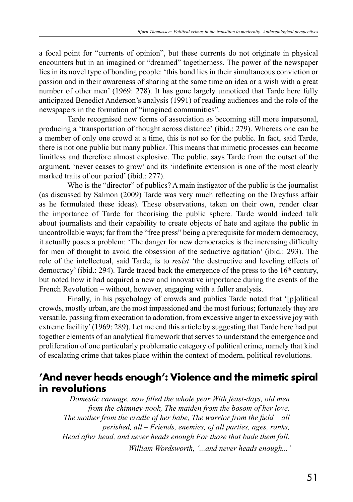a focal point for "currents of opinion", but these currents do not originate in physical encounters but in an imagined or "dreamed" togetherness. The power of the newspaper lies in its novel type of bonding people: 'this bond lies in their simultaneous conviction or passion and in their awareness of sharing at the same time an idea or a wish with a great number of other men' (1969: 278). It has gone largely unnoticed that Tarde here fully anticipated Benedict Anderson's analysis (1991) of reading audiences and the role of the newspapers in the formation of "imagined communities".

Tarde recognised new forms of association as becoming still more impersonal, producing a 'transportation of thought across distance' (ibid.: 279). Whereas one can be a member of only one crowd at a time, this is not so for the public. In fact, said Tarde, there is not one public but many public*s*. This means that mimetic processes can become limitless and therefore almost explosive. The public, says Tarde from the outset of the argument, 'never ceases to grow' and its 'indefinite extension is one of the most clearly marked traits of our period' (ibid.: 277).

Who is the "director" of publics? A main instigator of the public is the journalist (as discussed by Salmon (2009) Tarde was very much reflecting on the Dreyfuss affair as he formulated these ideas). These observations, taken on their own, render clear the importance of Tarde for theorising the public sphere. Tarde would indeed talk about journalists and their capability to create objects of hate and agitate the public in uncontrollable ways; far from the "free press" being a prerequisite for modern democracy, it actually poses a problem: 'The danger for new democracies is the increasing difficulty for men of thought to avoid the obsession of the seductive agitation' (ibid.: 293). The role of the intellectual, said Tarde, is to *resist* 'the destructive and leveling effects of democracy' (ibid.: 294). Tarde traced back the emergence of the press to the  $16<sup>th</sup>$  century, but noted how it had acquired a new and innovative importance during the events of the French Revolution – without, however, engaging with a fuller analysis.

Finally, in his psychology of crowds and publics Tarde noted that '[p]olitical crowds, mostly urban, are the most impassioned and the most furious; fortunately they are versatile, passing from execration to adoration, from excessive anger to excessive joy with extreme facility' (1969: 289). Let me end this article by suggesting that Tarde here had put together elements of an analytical framework that serves to understand the emergence and proliferation of one particularly problematic category of political crime, namely that kind of escalating crime that takes place within the context of modern, political revolutions.

# **'And never heads enough': Violence and the mimetic spiral in revolutions**

*Domestic carnage, now filled the whole year With feast-days, old men from the chimney-nook, The maiden from the bosom of her love, The mother from the cradle of her babe, The warrior from the field – all perished, all – Friends, enemies, of all parties, ages, ranks, Head after head, and never heads enough For those that bade them fall. William Wordsworth, '...and never heads enough...'*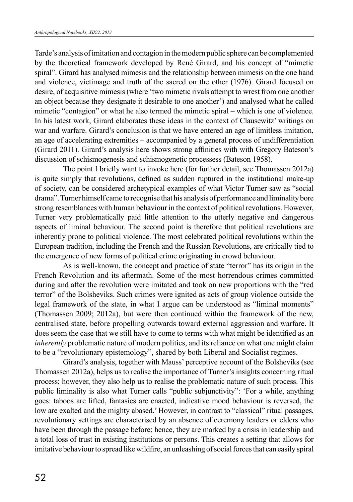Tarde's analysis of imitation and contagion in the modern public sphere can be complemented by the theoretical framework developed by René Girard, and his concept of "mimetic spiral". Girard has analysed mimesis and the relationship between mimesis on the one hand and violence, victimage and truth of the sacred on the other (1976). Girard focused on desire, of acquisitive mimesis (where 'two mimetic rivals attempt to wrest from one another an object because they designate it desirable to one another') and analysed what he called mimetic "contagion" or what he also termed the mimetic spiral – which is one of violence. In his latest work, Girard elaborates these ideas in the context of Clausewitz' writings on war and warfare. Girard's conclusion is that we have entered an age of limitless imitation, an age of accelerating extremities – accompanied by a general process of undifferentiation (Girard 2011). Girard's analysis here shows strong affinities with with Gregory Bateson's discussion of schismogenesis and schismogenetic processess (Bateson 1958).

The point I briefly want to invoke here (for further detail, see Thomassen 2012a) is quite simply that revolutions, defined as sudden ruptured in the institutional make-up of society, can be considered archetypical examples of what Victor Turner saw as "social drama". Turner himself came to recognise that his analysis of performance and liminality bore strong resemblances with human behaviour in the context of political revolutions. However, Turner very problematically paid little attention to the utterly negative and dangerous aspects of liminal behaviour. The second point is therefore that political revolutions are inherently prone to political violence. The most celebrated political revolutions within the European tradition, including the French and the Russian Revolutions, are critically tied to the emergence of new forms of political crime originating in crowd behaviour.

As is well-known, the concept and practice of state "terror" has its origin in the French Revolution and its aftermath. Some of the most horrendous crimes committed during and after the revolution were imitated and took on new proportions with the "red terror" of the Bolsheviks. Such crimes were ignited as acts of group violence outside the legal framework of the state, in what I argue can be understood as "liminal moments" (Thomassen 2009; 2012a), but were then continued within the framework of the new, centralised state, before propelling outwards toward external aggression and warfare. It does seem the case that we still have to come to terms with what might be identified as an *inherently* problematic nature of modern politics, and its reliance on what one might claim to be a "revolutionary epistemology", shared by both Liberal and Socialist regimes.

Girard's analysis, together with Mauss' perceptive account of the Bolsheviks (see Thomassen 2012a), helps us to realise the importance of Turner's insights concerning ritual process; however, they also help us to realise the problematic nature of such process. This public liminality is also what Turner calls "public subjunctivity": 'For a while, anything goes: taboos are lifted, fantasies are enacted, indicative mood behaviour is reversed, the low are exalted and the mighty abased.' However, in contrast to "classical" ritual passages, revolutionary settings are characterised by an absence of ceremony leaders or elders who have been through the passage before; hence, they are marked by a crisis in leadership and a total loss of trust in existing institutions or persons. This creates a setting that allows for imitative behaviour to spread like wildfire, an unleashing of social forces that can easily spiral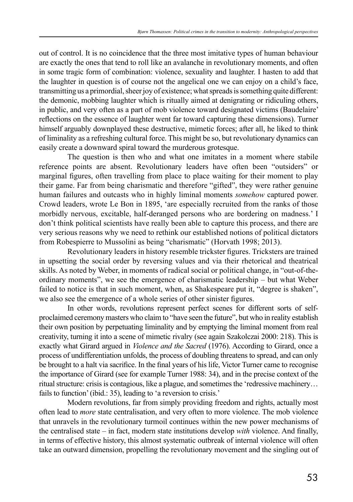out of control. It is no coincidence that the three most imitative types of human behaviour are exactly the ones that tend to roll like an avalanche in revolutionary moments, and often in some tragic form of combination: violence, sexuality and laughter. I hasten to add that the laughter in question is of course not the angelical one we can enjoy on a child's face, transmitting us a primordial, sheer joy of existence; what spreads is something quite different: the demonic, mobbing laughter which is ritually aimed at denigrating or ridiculing others, in public, and very often as a part of mob violence toward designated victims (Baudelaire' reflections on the essence of laughter went far toward capturing these dimensions). Turner himself arguably downplayed these destructive, mimetic forces; after all, he liked to think of liminality as a refreshing cultural force. This might be so, but revolutionary dynamics can easily create a downward spiral toward the murderous grotesque.

The question is then who and what one imitates in a moment where stabile reference points are absent. Revolutionary leaders have often been "outsiders" or marginal figures, often travelling from place to place waiting for their moment to play their game. Far from being charismatic and therefore "gifted", they were rather genuine human failures and outcasts who in highly liminal moments *somehow* captured power. Crowd leaders, wrote Le Bon in 1895, 'are especially recruited from the ranks of those morbidly nervous, excitable, half-deranged persons who are bordering on madness.' I don't think political scientists have really been able to capture this process, and there are very serious reasons why we need to rethink our established notions of political dictators from Robespierre to Mussolini as being "charismatic" (Horvath 1998; 2013).

Revolutionary leaders in history resemble trickster figures. Tricksters are trained in upsetting the social order by reversing values and via their rhetorical and theatrical skills. As noted by Weber, in moments of radical social or political change, in "out-of-theordinary moments", we see the emergence of charismatic leadership – but what Weber failed to notice is that in such moment, when, as Shakespeare put it, "degree is shaken", we also see the emergence of a whole series of other sinister figures.

In other words, revolutions represent perfect scenes for different sorts of selfproclaimed ceremony masters who claim to "have seen the future", but who in reality establish their own position by perpetuating liminality and by emptying the liminal moment from real creativity, turning it into a scene of mimetic rivalry (see again Szakolczai 2000: 218). This is exactly what Girard argued in *Violence and the Sacred* (1976). According to Girard, once a process of undifferentiation unfolds, the process of doubling threatens to spread, and can only be brought to a halt via sacrifice. In the final years of his life, Victor Turner came to recognise the importance of Girard (see for example Turner 1988: 34), and in the precise context of the ritual structure: crisis is contagious, like a plague, and sometimes the 'redressive machinery… fails to function' (ibid.: 35), leading to 'a reversion to crisis.'

Modern revolutions, far from simply providing freedom and rights, actually most often lead to *more* state centralisation, and very often to more violence. The mob violence that unravels in the revolutionary turmoil continues within the new power mechanisms of the centralised state – in fact, modern state institutions develop *with* violence. And finally, in terms of effective history, this almost systematic outbreak of internal violence will often take an outward dimension, propelling the revolutionary movement and the singling out of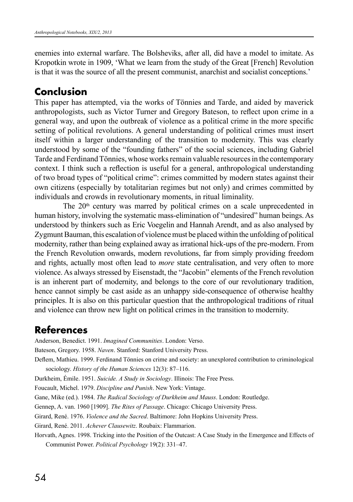enemies into external warfare. The Bolsheviks, after all, did have a model to imitate. As Kropotkin wrote in 1909, 'What we learn from the study of the Great [French] Revolution is that it was the source of all the present communist, anarchist and socialist conceptions.'

## **Conclusion**

This paper has attempted, via the works of Tönnies and Tarde, and aided by maverick anthropologists, such as Victor Turner and Gregory Bateson, to reflect upon crime in a general way, and upon the outbreak of violence as a political crime in the more specific setting of political revolutions. A general understanding of political crimes must insert itself within a larger understanding of the transition to modernity. This was clearly understood by some of the "founding fathers" of the social sciences, including Gabriel Tarde and Ferdinand Tönnies, whose works remain valuable resources in the contemporary context. I think such a reflection is useful for a general, anthropological understanding of two broad types of "political crime": crimes committed by modern states against their own citizens (especially by totalitarian regimes but not only) and crimes committed by individuals and crowds in revolutionary moments, in ritual liminality.

The  $20<sup>th</sup>$  century was marred by political crimes on a scale unprecedented in human history, involving the systematic mass-elimination of "undesired" human beings. As understood by thinkers such as Eric Voegelin and Hannah Arendt, and as also analysed by Zygmunt Bauman, this escalation of violence must be placed within the unfolding of political modernity, rather than being explained away as irrational hick-ups of the pre-modern. From the French Revolution onwards, modern revolutions, far from simply providing freedom and rights, actually most often lead to *more* state centralisation, and very often to more violence. As always stressed by Eisenstadt, the "Jacobin" elements of the French revolution is an inherent part of modernity, and belongs to the core of our revolutionary tradition, hence cannot simply be cast aside as an unhappy side-consequence of otherwise healthy principles. It is also on this particular question that the anthropological traditions of ritual and violence can throw new light on political crimes in the transition to modernity.

# **References**

Anderson, Benedict. 1991. *Imagined Communities*. London: Verso.

Bateson, Gregory. 1958. *Naven*. Stanford: Stanford University Press.

Deflem, Mathieu. 1999. Ferdinand Tönnies on crime and society: an unexplored contribution to criminological sociology. *History of the Human Sciences* 12(3): 87–116.

Durkheim, Émile. 1951. *Suicide. A Study in Sociology*. Illinois: The Free Press.

Foucault, Michel. 1979. *Discipline and Punish*. New York: Vintage.

Gane, Mike (ed.). 1984. *The Radical Sociology of Durkheim and Mauss*. London: Routledge.

Gennep, A. van. 1960 [1909]. *The Rites of Passage*. Chicago: Chicago University Press.

Girard, René. 1976. *Violence and the Sacred*. Baltimore: John Hopkins University Press.

Girard, René. 2011. *Achever Clausewitz*. Roubaix: Flammarion.

Horvath, Agnes. 1998. Tricking into the Position of the Outcast: A Case Study in the Emergence and Effects of Communist Power. *Political Psychology* 19(2): 331–47.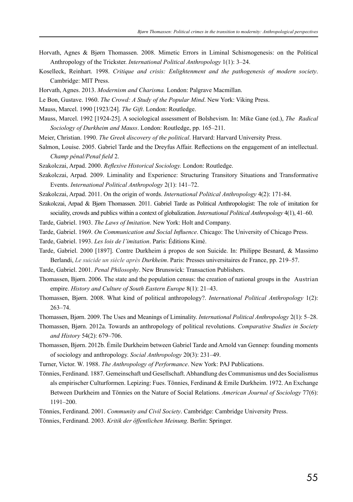- Horvath, Agnes & Bjørn Thomassen. 2008. Mimetic Errors in Liminal Schismogenesis: on the Political Anthropology of the Trickster. *International Political Anthropology* 1(1): 3–24.
- Koselleck, Reinhart. 1998. *Critique and crisis: Enlightenment and the pathogenesis of modern society*. Cambridge: MIT Press.
- Horvath, Agnes. 2013. *Modernism and Charisma.* London: Palgrave Macmillan.
- Le Bon, Gustave. 1960. *The Crowd: A Study of the Popular Mind*. New York: Viking Press.
- Mauss, Marcel. 1990 [1923/24]. *The Gift*. London: Routledge.
- Mauss, Marcel. 1992 [1924-25]. A sociological assessment of Bolshevism. In: Mike Gane (ed.), *The Radical Sociology of Durkheim and Mauss*. London: Routledge, pp. 165–211.
- Meier, Christian. 1990. *The Greek discovery of the political*. Harvard: Harvard University Press.
- Salmon, Louise. 2005. Gabriel Tarde and the Dreyfus Affair. Reflections on the engagement of an intellectual. *Champ pénal/Penal field* 2.
- Szakolczai, Arpad. 2000. *Reflexive Historical Sociology.* London: Routledge.
- Szakolczai, Arpad. 2009. Liminality and Experience: Structuring Transitory Situations and Transformative Events. *International Political Anthropology* 2(1): 141–72.
- Szakolczai, Arpad. 2011. On the origin of words. *International Political Anthropology* 4(2): 171-84.
- Szakolczai, Arpad & Bjørn Thomassen. 2011. Gabriel Tarde as Political Anthropologist: The role of imitation for sociality, crowds and publics within a context of globalization. *International Political Anthropology* 4(1), 41–60.
- Tarde, Gabriel. 1903. *The Laws of Imitation*. New York: Holt and Company.
- Tarde, Gabriel. 1969. *On Communication and Social Influence*. Chicago: The University of Chicago Press.
- Tarde, Gabriel. 1993. *Les lois de l'imitation*. Paris: Éditions Kimé.
- Tarde, Gabriel. 2000 [1897]. Contre Durkheim á propos de son Suicide. In: Philippe Besnard, & Massimo Berlandi, *Le suicide un siècle après Durkheim*. Paris: Presses universitaires de France, pp. 219–57.
- Tarde, Gabriel. 2001. *Penal Philosophy*. New Brunswick: Transaction Publishers.
- Thomassen, Bjørn. 2006. The state and the population census: the creation of national groups in the Austrian empire. *History and Culture of South Eastern Europe* 8(1): 21–43.
- Thomassen, Bjørn. 2008. What kind of political anthropology?. *International Political Anthropology* 1(2): 263–74.

Thomassen, Bjørn. 2009. The Uses and Meanings of Liminality. *International Political Anthropology* 2(1): 5–28.

- Thomassen, Bjørn. 2012a. Towards an anthropology of political revolutions. *Comparative Studies in Society and History* 54(2): 679–706.
- Thomassen, Bjørn. 2012b. Émile Durkheim between Gabriel Tarde and Arnold van Gennep: founding moments of sociology and anthropology. *Social Anthropology* 20(3): 231–49.
- Turner, Victor. W. 1988. *The Anthropology of Performance*. New York: PAJ Publications.
- Tönnies, Ferdinand. 1887. Gemeinschaft und Gesellschaft. Abhandlung des Communismus und des Socialismus als empirischer Culturformen. Lepizing: Fues. Tönnies, Ferdinand & Emile Durkheim. 1972. An Exchange Between Durkheim and Tönnies on the Nature of Social Relations. *American Journal of Sociology* 77(6): 1191–200.
- Tönnies, Ferdinand. 2001. *Community and Civil Society*. Cambridge: Cambridge University Press.
- Tönnies, Ferdinand. 2003. *Kritik der öffentlichen Meinung*. Berlin: Springer.